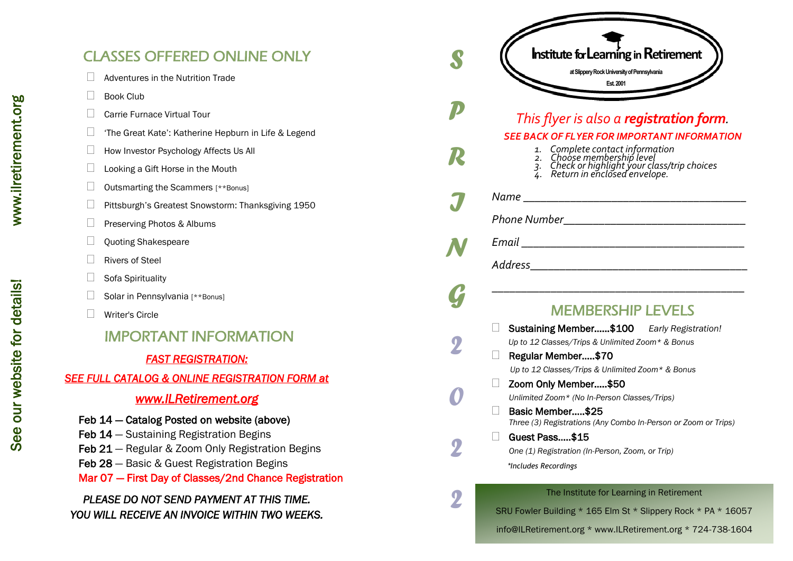# CLASSES OFFERED ONLINE ONLY

- $\Box$  Adventures in the Nutrition Trade
- Book Club
- □ Carrie Furnace Virtual Tour
- □ fhe Great Kate': Katherine Hepburn in Life & Legend
- $\Box$  How Investor Psychology Affects Us All
- $\Box$  Looking a Gift Horse in the Mouth
- $\Box$  Outsmarting the Scammers [\*\*Bonus]
- Pittsburgh's Greatest Snowstorm: Thanksgiving 1950
- Preserving Photos & Albums
- $\Box$  Ouoting Shakespeare
- $\Box$  Rivers of Steel
- $\Box$  Sofa Spirituality
- $\Box$  Solar in Pennsylvania [\*\*Bonus]
- □ Writer's Circle
	- IMPORTANT INFORMATION

## *FAST REGISTRATION:*

## *SEE FULL CATALOG & ONLINE REGISTRATION FORM at*

# *www.ILRetirement.org*

- Feb 14 Catalog Posted on website (above)
- Feb 14 Sustaining Registration Begins
- Feb 21 Regular & Zoom Only Registration Begins
- Feb 28 Basic & Guest Registration Begins
- Mar 07 First Day of Classes/2nd Chance Registration

# *PLEASE DO NOT SEND PAYMENT AT THIS TIME. CLASSES OFFERED ONLINE CNLY*<br> *I*O *Merical With*<br> *T*O *YOU MICHART TIme Great Kate: 'Katherine Hepburn in Life & Legend<br>
<i>I*O *Vio imperiments of Phychology Affetsa Us All*<br> *T*O *I*O *U michart ing a Girl Harse in the*

| Institute for Learning in Retirement<br>at Slippery Rock University of Pennsylvania<br>Est. 2001                                                                                                                                                   |
|----------------------------------------------------------------------------------------------------------------------------------------------------------------------------------------------------------------------------------------------------|
| This flyer is also a registration form.<br><b>SEE BACK OF FLYER FOR IMPORTANT INFORMATION</b><br>1. Complete contact information<br>2. Choose membership level<br>3. Check or highlight your class/trip choices<br>4. Return in enclosed envelope. |
|                                                                                                                                                                                                                                                    |
|                                                                                                                                                                                                                                                    |
|                                                                                                                                                                                                                                                    |
|                                                                                                                                                                                                                                                    |
|                                                                                                                                                                                                                                                    |
| <b>MEMBERSHIP LEVELS</b>                                                                                                                                                                                                                           |
| Sustaining Member\$100 Early Registration!<br>Up to 12 Classes/Trips & Unlimited Zoom* & Bonus                                                                                                                                                     |
| Regular Member\$70<br>Up to 12 Classes/Trips & Unlimited Zoom* & Bonus                                                                                                                                                                             |
| Zoom Only Member\$50                                                                                                                                                                                                                               |
| Unlimited Zoom* (No In-Person Classes/Trips)<br>Basic Member\$25<br>Three (3) Registrations (Any Combo In-Person or Zoom or Trips)                                                                                                                 |
| Guest Pass\$15                                                                                                                                                                                                                                     |
| One (1) Registration (In-Person, Zoom, or Trip)<br>*Includes Recordings                                                                                                                                                                            |

info@ILRetirement.org \* www.ILRetirement.org \* 724 -738 -1604